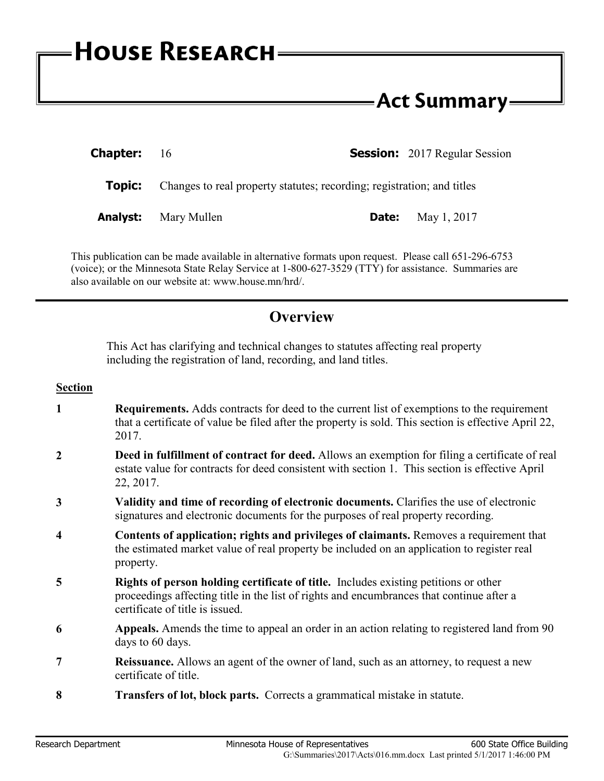## **Act Summary-**

| <b>Chapter:</b> 16 |                                                                        |       | <b>Session:</b> 2017 Regular Session |
|--------------------|------------------------------------------------------------------------|-------|--------------------------------------|
| Topic:             | Changes to real property statutes; recording; registration; and titles |       |                                      |
|                    | <b>Analyst:</b> Mary Mullen                                            | Date: | May 1, 2017                          |

This publication can be made available in alternative formats upon request. Please call 651-296-6753 (voice); or the Minnesota State Relay Service at 1-800-627-3529 (TTY) for assistance. Summaries are also available on our website at: www.house.mn/hrd/.

## **Overview**

This Act has clarifying and technical changes to statutes affecting real property including the registration of land, recording, and land titles.

## **Section**

- **1 Requirements.** Adds contracts for deed to the current list of exemptions to the requirement that a certificate of value be filed after the property is sold. This section is effective April 22, 2017.
- **2 Deed in fulfillment of contract for deed.** Allows an exemption for filing a certificate of real estate value for contracts for deed consistent with section 1. This section is effective April 22, 2017.
- **3 Validity and time of recording of electronic documents.** Clarifies the use of electronic signatures and electronic documents for the purposes of real property recording.
- **4 Contents of application; rights and privileges of claimants.** Removes a requirement that the estimated market value of real property be included on an application to register real property.
- **5 Rights of person holding certificate of title.** Includes existing petitions or other proceedings affecting title in the list of rights and encumbrances that continue after a certificate of title is issued.
- **6 Appeals.** Amends the time to appeal an order in an action relating to registered land from 90 days to 60 days.
- **7 Reissuance.** Allows an agent of the owner of land, such as an attorney, to request a new certificate of title.
- **8 Transfers of lot, block parts.** Corrects a grammatical mistake in statute.